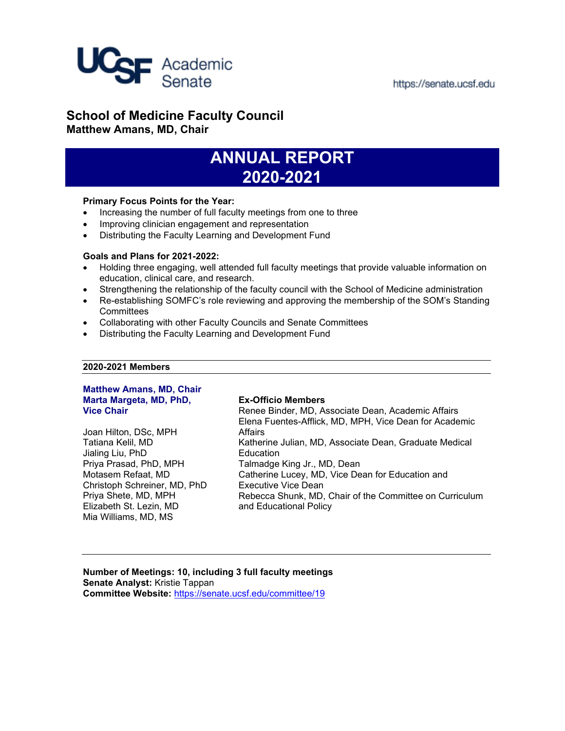

# **School of Medicine Faculty Council Matthew Amans, MD, Chair**

# **ANNUAL REPORT 2020-2021**

## **Primary Focus Points for the Year:**

- Increasing the number of full faculty meetings from one to three
- Improving clinician engagement and representation
- Distributing the Faculty Learning and Development Fund

#### **Goals and Plans for 2021-2022:**

- Holding three engaging, well attended full faculty meetings that provide valuable information on education, clinical care, and research.
- Strengthening the relationship of the faculty council with the School of Medicine administration
- Re-establishing SOMFC's role reviewing and approving the membership of the SOM's Standing **Committees**
- Collaborating with other Faculty Councils and Senate Committees
- Distributing the Faculty Learning and Development Fund

# **2020-2021 Members**

#### **Matthew Amans, MD, Chair Marta Margeta, MD, PhD, Vice Chair**

Joan Hilton, DSc, MPH Tatiana Kelil, MD Jialing Liu, PhD Priya Prasad, PhD, MPH Motasem Refaat, MD Christoph Schreiner, MD, PhD Priya Shete, MD, MPH Elizabeth St. Lezin, MD Mia Williams, MD, MS

### **Ex-Officio Members**

Renee Binder, MD, Associate Dean, Academic Affairs Elena Fuentes-Afflick, MD, MPH, Vice Dean for Academic Affairs Katherine Julian, MD, Associate Dean, Graduate Medical Education Talmadge King Jr., MD, Dean Catherine Lucey, MD, Vice Dean for Education and Executive Vice Dean Rebecca Shunk, MD, Chair of the Committee on Curriculum and Educational Policy

**Number of Meetings: 10, including 3 full faculty meetings Senate Analyst:** Kristie Tappan **Committee Website:** <https://senate.ucsf.edu/committee/19>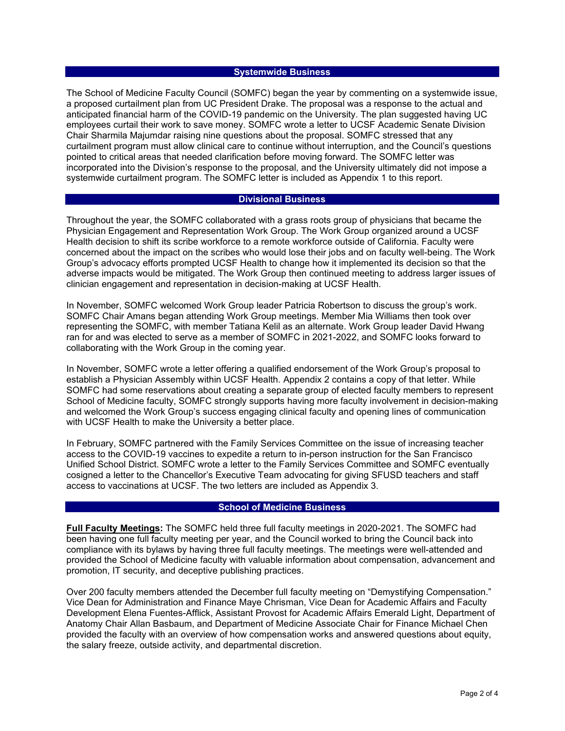#### **Systemwide Business**

The School of Medicine Faculty Council (SOMFC) began the year by commenting on a systemwide issue, a proposed curtailment plan from UC President Drake. The proposal was a response to the actual and anticipated financial harm of the COVID-19 pandemic on the University. The plan suggested having UC employees curtail their work to save money. SOMFC wrote a letter to UCSF Academic Senate Division Chair Sharmila Majumdar raising nine questions about the proposal. SOMFC stressed that any curtailment program must allow clinical care to continue without interruption, and the Council's questions pointed to critical areas that needed clarification before moving forward. The SOMFC letter was incorporated into the Division's response to the proposal, and the University ultimately did not impose a systemwide curtailment program. The SOMFC letter is included as [Appendix 1](https://senate.ucsf.edu/sites/default/files/2021-09/SOM-Annual-Report-2020-2021-Appendix-1.pdf) to this report.

#### **Divisional Business**

Throughout the year, the SOMFC collaborated with a grass roots group of physicians that became the Physician Engagement and Representation Work Group. The Work Group organized around a UCSF Health decision to shift its scribe workforce to a remote workforce outside of California. Faculty were concerned about the impact on the scribes who would lose their jobs and on faculty well-being. The Work Group's advocacy efforts prompted UCSF Health to change how it implemented its decision so that the adverse impacts would be mitigated. The Work Group then continued meeting to address larger issues of clinician engagement and representation in decision-making at UCSF Health.

In November, SOMFC welcomed Work Group leader Patricia Robertson to discuss the group's work. SOMFC Chair Amans began attending Work Group meetings. Member Mia Williams then took over representing the SOMFC, with member Tatiana Kelil as an alternate. Work Group leader David Hwang ran for and was elected to serve as a member of SOMFC in 2021-2022, and SOMFC looks forward to collaborating with the Work Group in the coming year.

In November, SOMFC wrote a letter offering a qualified endorsement of the Work Group's proposal to establish a Physician Assembly within UCSF Health[. Appendix 2](https://senate.ucsf.edu/sites/default/files/2021-09/SOM-Annual-Report-2020-2021-Appendix-2.pdf) contains a copy of that letter. While SOMFC had some reservations about creating a separate group of elected faculty members to represent School of Medicine faculty, SOMFC strongly supports having more faculty involvement in decision-making and welcomed the Work Group's success engaging clinical faculty and opening lines of communication with UCSF Health to make the University a better place.

In February, SOMFC partnered with the Family Services Committee on the issue of increasing teacher access to the COVID-19 vaccines to expedite a return to in-person instruction for the San Francisco Unified School District. SOMFC wrote a letter to the Family Services Committee and SOMFC eventually cosigned a letter to the Chancellor's Executive Team advocating for giving SFUSD teachers and staff access to vaccinations at UCSF. The two letters are included a[s Appendix 3.](https://senate.ucsf.edu/sites/default/files/2021-09/SOM-Annual-Report-2020-2021-Appendix-3.pdf)

#### **School of Medicine Business**

**Full Faculty Meetings:** The SOMFC held three full faculty meetings in 2020-2021. The SOMFC had been having one full faculty meeting per year, and the Council worked to bring the Council back into compliance with its bylaws by having three full faculty meetings. The meetings were well-attended and provided the School of Medicine faculty with valuable information about compensation, advancement and promotion, IT security, and deceptive publishing practices.

Over 200 faculty members attended the December full faculty meeting on "Demystifying Compensation." Vice Dean for Administration and Finance Maye Chrisman, Vice Dean for Academic Affairs and Faculty Development Elena Fuentes-Afflick, Assistant Provost for Academic Affairs Emerald Light, Department of Anatomy Chair Allan Basbaum, and Department of Medicine Associate Chair for Finance Michael Chen provided the faculty with an overview of how compensation works and answered questions about equity, the salary freeze, outside activity, and departmental discretion.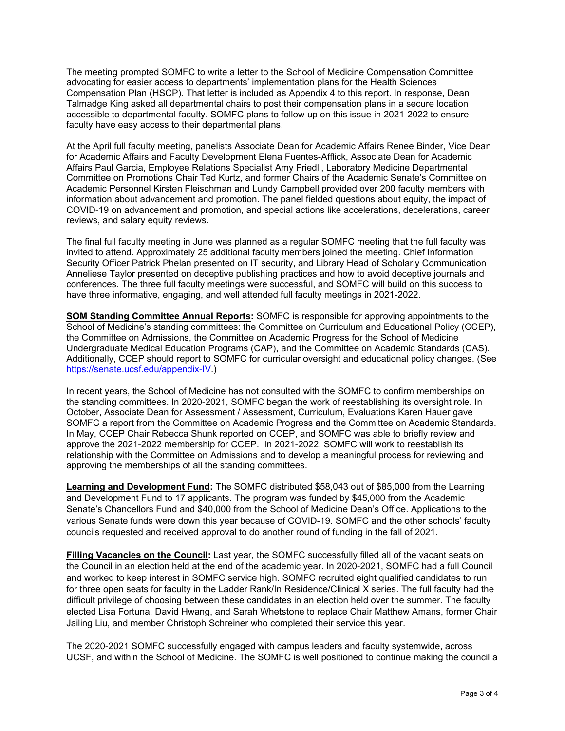The meeting prompted SOMFC to write a letter to the School of Medicine Compensation Committee advocating for easier access to departments' implementation plans for the Health Sciences Compensation Plan (HSCP). That letter is included as [Appendix 4](https://senate.ucsf.edu/sites/default/files/2021-09/SOM-Annual-Report-2020-2021-Appendix-4.pdf) to this report. In response, Dean Talmadge King asked all departmental chairs to post their compensation plans in a secure location accessible to departmental faculty. SOMFC plans to follow up on this issue in 2021-2022 to ensure faculty have easy access to their departmental plans.

At the April full faculty meeting, panelists Associate Dean for Academic Affairs Renee Binder, Vice Dean for Academic Affairs and Faculty Development Elena Fuentes-Afflick, Associate Dean for Academic Affairs Paul Garcia, Employee Relations Specialist Amy Friedli, Laboratory Medicine Departmental Committee on Promotions Chair Ted Kurtz, and former Chairs of the Academic Senate's Committee on Academic Personnel Kirsten Fleischman and Lundy Campbell provided over 200 faculty members with information about advancement and promotion. The panel fielded questions about equity, the impact of COVID-19 on advancement and promotion, and special actions like accelerations, decelerations, career reviews, and salary equity reviews.

The final full faculty meeting in June was planned as a regular SOMFC meeting that the full faculty was invited to attend. Approximately 25 additional faculty members joined the meeting. Chief Information Security Officer Patrick Phelan presented on IT security, and Library Head of Scholarly Communication Anneliese Taylor presented on deceptive publishing practices and how to avoid deceptive journals and conferences. The three full faculty meetings were successful, and SOMFC will build on this success to have three informative, engaging, and well attended full faculty meetings in 2021-2022.

**SOM Standing Committee Annual Reports:** SOMFC is responsible for approving appointments to the School of Medicine's standing committees: the Committee on Curriculum and Educational Policy (CCEP), the Committee on Admissions, the Committee on Academic Progress for the School of Medicine Undergraduate Medical Education Programs (CAP), and the Committee on Academic Standards (CAS). Additionally, CCEP should report to SOMFC for curricular oversight and educational policy changes. (See [https://senate.ucsf.edu/appendix-IV.](https://senate.ucsf.edu/appendix-IV))

In recent years, the School of Medicine has not consulted with the SOMFC to confirm memberships on the standing committees. In 2020-2021, SOMFC began the work of reestablishing its oversight role. In October, Associate Dean for Assessment / Assessment, Curriculum, Evaluations Karen Hauer gave SOMFC a report from the Committee on Academic Progress and the Committee on Academic Standards. In May, CCEP Chair Rebecca Shunk reported on CCEP, and SOMFC was able to briefly review and approve the 2021-2022 membership for CCEP. In 2021-2022, SOMFC will work to reestablish its relationship with the Committee on Admissions and to develop a meaningful process for reviewing and approving the memberships of all the standing committees.

**Learning and Development Fund:** The SOMFC distributed \$58,043 out of \$85,000 from the Learning and Development Fund to 17 applicants. The program was funded by \$45,000 from the Academic Senate's Chancellors Fund and \$40,000 from the School of Medicine Dean's Office. Applications to the various Senate funds were down this year because of COVID-19. SOMFC and the other schools' faculty councils requested and received approval to do another round of funding in the fall of 2021.

**Filling Vacancies on the Council:** Last year, the SOMFC successfully filled all of the vacant seats on the Council in an election held at the end of the academic year. In 2020-2021, SOMFC had a full Council and worked to keep interest in SOMFC service high. SOMFC recruited eight qualified candidates to run for three open seats for faculty in the Ladder Rank/In Residence/Clinical X series. The full faculty had the difficult privilege of choosing between these candidates in an election held over the summer. The faculty elected Lisa Fortuna, David Hwang, and Sarah Whetstone to replace Chair Matthew Amans, former Chair Jailing Liu, and member Christoph Schreiner who completed their service this year.

The 2020-2021 SOMFC successfully engaged with campus leaders and faculty systemwide, across UCSF, and within the School of Medicine. The SOMFC is well positioned to continue making the council a